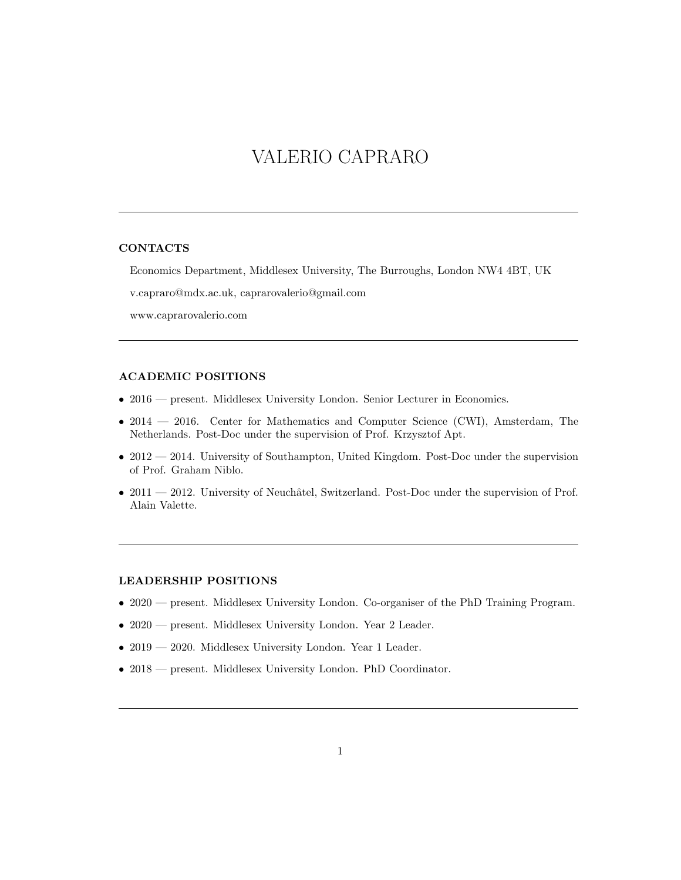# VALERIO CAPRARO

#### CONTACTS

Economics Department, Middlesex University, The Burroughs, London NW4 4BT, UK

v.capraro@mdx.ac.uk, caprarovalerio@gmail.com

www.caprarovalerio.com

# ACADEMIC POSITIONS

- 2016 present. Middlesex University London. Senior Lecturer in Economics.
- 2014 2016. Center for Mathematics and Computer Science (CWI), Amsterdam, The Netherlands. Post-Doc under the supervision of Prof. Krzysztof Apt.
- $\bullet$  2012 2014. University of Southampton, United Kingdom. Post-Doc under the supervision of Prof. Graham Niblo.
- 2011  $-$  2012. University of Neuchâtel, Switzerland. Post-Doc under the supervision of Prof. Alain Valette.

# LEADERSHIP POSITIONS

- 2020 present. Middlesex University London. Co-organiser of the PhD Training Program.
- 2020 present. Middlesex University London. Year 2 Leader.
- 2019 2020. Middlesex University London. Year 1 Leader.
- 2018 present. Middlesex University London. PhD Coordinator.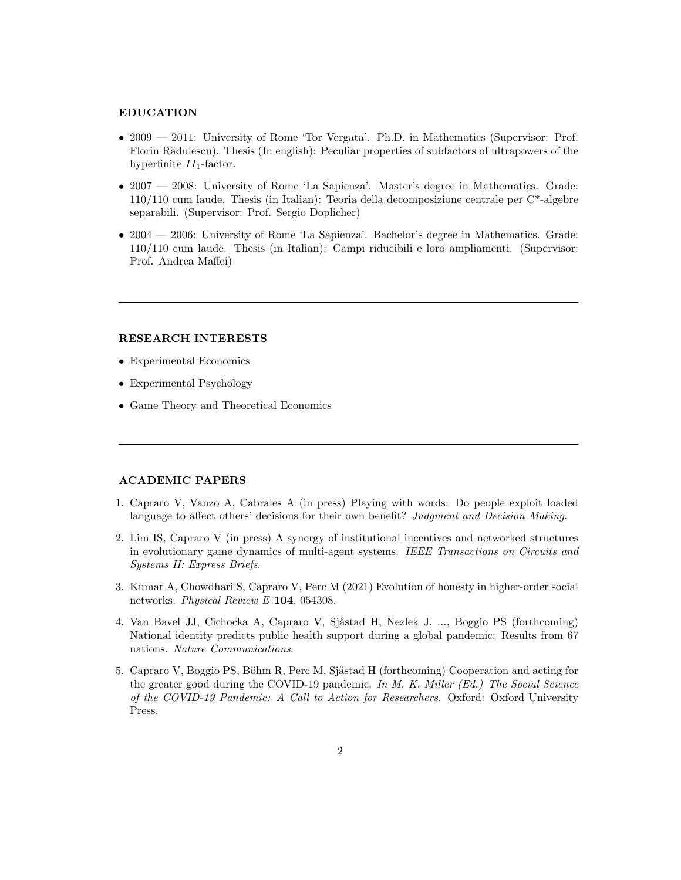#### EDUCATION

- 2009 2011: University of Rome 'Tor Vergata'. Ph.D. in Mathematics (Supervisor: Prof. Florin Rădulescu). Thesis (In english): Peculiar properties of subfactors of ultrapowers of the hyperfinite  $II_1$ -factor.
- 2007 2008: University of Rome 'La Sapienza'. Master's degree in Mathematics. Grade: 110/110 cum laude. Thesis (in Italian): Teoria della decomposizione centrale per C\*-algebre separabili. (Supervisor: Prof. Sergio Doplicher)
- 2004 2006: University of Rome 'La Sapienza'. Bachelor's degree in Mathematics. Grade: 110/110 cum laude. Thesis (in Italian): Campi riducibili e loro ampliamenti. (Supervisor: Prof. Andrea Maffei)

# RESEARCH INTERESTS

- Experimental Economics
- Experimental Psychology
- Game Theory and Theoretical Economics

#### ACADEMIC PAPERS

- 1. Capraro V, Vanzo A, Cabrales A (in press) Playing with words: Do people exploit loaded language to affect others' decisions for their own benefit? Judgment and Decision Making.
- 2. Lim IS, Capraro V (in press) A synergy of institutional incentives and networked structures in evolutionary game dynamics of multi-agent systems. IEEE Transactions on Circuits and Systems II: Express Briefs.
- 3. Kumar A, Chowdhari S, Capraro V, Perc M (2021) Evolution of honesty in higher-order social networks. Physical Review E 104, 054308.
- 4. Van Bavel JJ, Cichocka A, Capraro V, Sjåstad H, Nezlek J, ..., Boggio PS (forthcoming) National identity predicts public health support during a global pandemic: Results from 67 nations. Nature Communications.
- 5. Capraro V, Boggio PS, Böhm R, Perc M, Sjåstad H (forthcoming) Cooperation and acting for the greater good during the COVID-19 pandemic. In M. K. Miller (Ed.) The Social Science of the COVID-19 Pandemic: A Call to Action for Researchers. Oxford: Oxford University Press.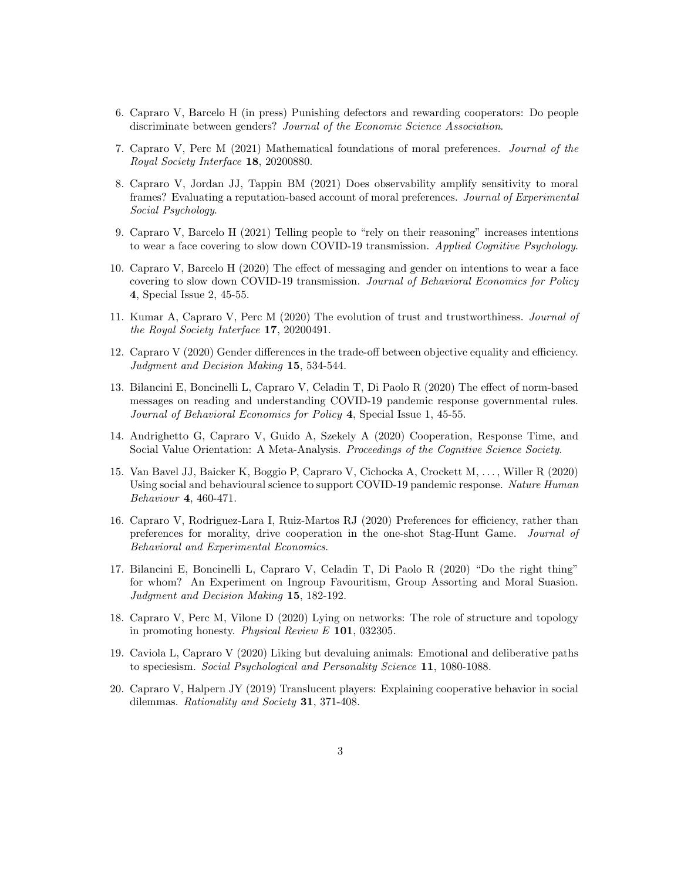- 6. Capraro V, Barcelo H (in press) Punishing defectors and rewarding cooperators: Do people discriminate between genders? Journal of the Economic Science Association.
- 7. Capraro V, Perc M (2021) Mathematical foundations of moral preferences. Journal of the Royal Society Interface 18, 20200880.
- 8. Capraro V, Jordan JJ, Tappin BM (2021) Does observability amplify sensitivity to moral frames? Evaluating a reputation-based account of moral preferences. Journal of Experimental Social Psychology.
- 9. Capraro V, Barcelo H (2021) Telling people to "rely on their reasoning" increases intentions to wear a face covering to slow down COVID-19 transmission. Applied Cognitive Psychology.
- 10. Capraro V, Barcelo H (2020) The effect of messaging and gender on intentions to wear a face covering to slow down COVID-19 transmission. Journal of Behavioral Economics for Policy 4, Special Issue 2, 45-55.
- 11. Kumar A, Capraro V, Perc M (2020) The evolution of trust and trustworthiness. Journal of the Royal Society Interface 17, 20200491.
- 12. Capraro V (2020) Gender differences in the trade-off between objective equality and efficiency. Judgment and Decision Making 15, 534-544.
- 13. Bilancini E, Boncinelli L, Capraro V, Celadin T, Di Paolo R (2020) The effect of norm-based messages on reading and understanding COVID-19 pandemic response governmental rules. Journal of Behavioral Economics for Policy 4, Special Issue 1, 45-55.
- 14. Andrighetto G, Capraro V, Guido A, Szekely A (2020) Cooperation, Response Time, and Social Value Orientation: A Meta-Analysis. Proceedings of the Cognitive Science Society.
- 15. Van Bavel JJ, Baicker K, Boggio P, Capraro V, Cichocka A, Crockett M, . . . , Willer R (2020) Using social and behavioural science to support COVID-19 pandemic response. Nature Human Behaviour 4, 460-471.
- 16. Capraro V, Rodriguez-Lara I, Ruiz-Martos RJ (2020) Preferences for efficiency, rather than preferences for morality, drive cooperation in the one-shot Stag-Hunt Game. Journal of Behavioral and Experimental Economics.
- 17. Bilancini E, Boncinelli L, Capraro V, Celadin T, Di Paolo R (2020) "Do the right thing" for whom? An Experiment on Ingroup Favouritism, Group Assorting and Moral Suasion. Judgment and Decision Making 15, 182-192.
- 18. Capraro V, Perc M, Vilone D (2020) Lying on networks: The role of structure and topology in promoting honesty. Physical Review E 101, 032305.
- 19. Caviola L, Capraro V (2020) Liking but devaluing animals: Emotional and deliberative paths to speciesism. Social Psychological and Personality Science 11, 1080-1088.
- 20. Capraro V, Halpern JY (2019) Translucent players: Explaining cooperative behavior in social dilemmas. Rationality and Society 31, 371-408.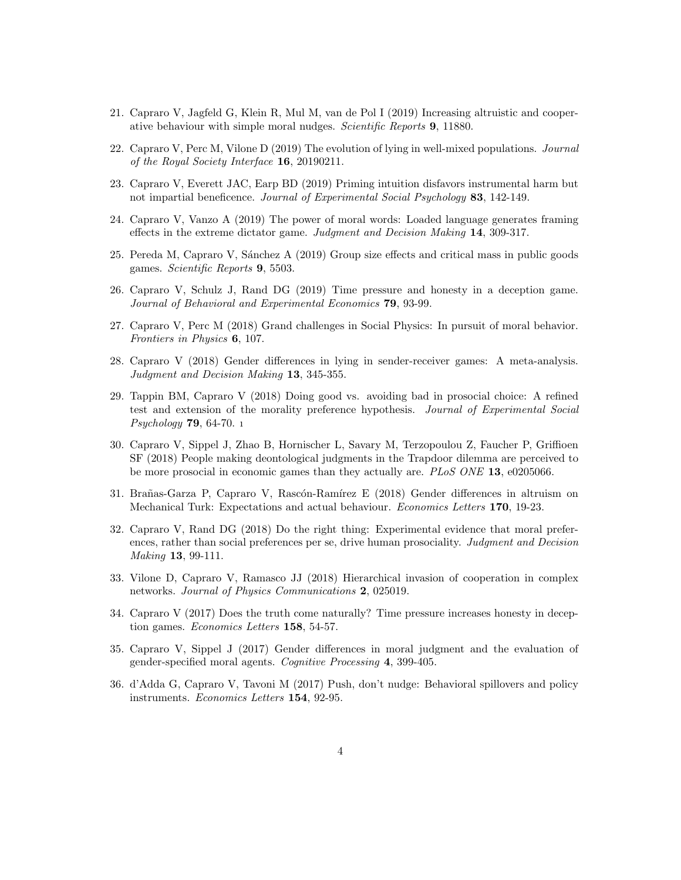- 21. Capraro V, Jagfeld G, Klein R, Mul M, van de Pol I (2019) Increasing altruistic and cooperative behaviour with simple moral nudges. Scientific Reports 9, 11880.
- 22. Capraro V, Perc M, Vilone D (2019) The evolution of lying in well-mixed populations. Journal of the Royal Society Interface 16, 20190211.
- 23. Capraro V, Everett JAC, Earp BD (2019) Priming intuition disfavors instrumental harm but not impartial beneficence. Journal of Experimental Social Psychology 83, 142-149.
- 24. Capraro V, Vanzo A (2019) The power of moral words: Loaded language generates framing effects in the extreme dictator game. Judgment and Decision Making 14, 309-317.
- 25. Pereda M, Capraro V, Sánchez A (2019) Group size effects and critical mass in public goods games. Scientific Reports 9, 5503.
- 26. Capraro V, Schulz J, Rand DG (2019) Time pressure and honesty in a deception game. Journal of Behavioral and Experimental Economics 79, 93-99.
- 27. Capraro V, Perc M (2018) Grand challenges in Social Physics: In pursuit of moral behavior. Frontiers in Physics 6, 107.
- 28. Capraro V (2018) Gender differences in lying in sender-receiver games: A meta-analysis. Judgment and Decision Making 13, 345-355.
- 29. Tappin BM, Capraro V (2018) Doing good vs. avoiding bad in prosocial choice: A refined test and extension of the morality preference hypothesis. Journal of Experimental Social Psychology 79, 64-70. ı
- 30. Capraro V, Sippel J, Zhao B, Hornischer L, Savary M, Terzopoulou Z, Faucher P, Griffioen SF (2018) People making deontological judgments in the Trapdoor dilemma are perceived to be more prosocial in economic games than they actually are. PLoS ONE 13, e0205066.
- 31. Brañas-Garza P, Capraro V, Rascón-Ramírez E (2018) Gender differences in altruism on Mechanical Turk: Expectations and actual behaviour. Economics Letters 170, 19-23.
- 32. Capraro V, Rand DG (2018) Do the right thing: Experimental evidence that moral preferences, rather than social preferences per se, drive human prosociality. Judgment and Decision Making 13, 99-111.
- 33. Vilone D, Capraro V, Ramasco JJ (2018) Hierarchical invasion of cooperation in complex networks. Journal of Physics Communications 2, 025019.
- 34. Capraro V (2017) Does the truth come naturally? Time pressure increases honesty in deception games. Economics Letters 158, 54-57.
- 35. Capraro V, Sippel J (2017) Gender differences in moral judgment and the evaluation of gender-specified moral agents. Cognitive Processing 4, 399-405.
- 36. d'Adda G, Capraro V, Tavoni M (2017) Push, don't nudge: Behavioral spillovers and policy instruments. Economics Letters 154, 92-95.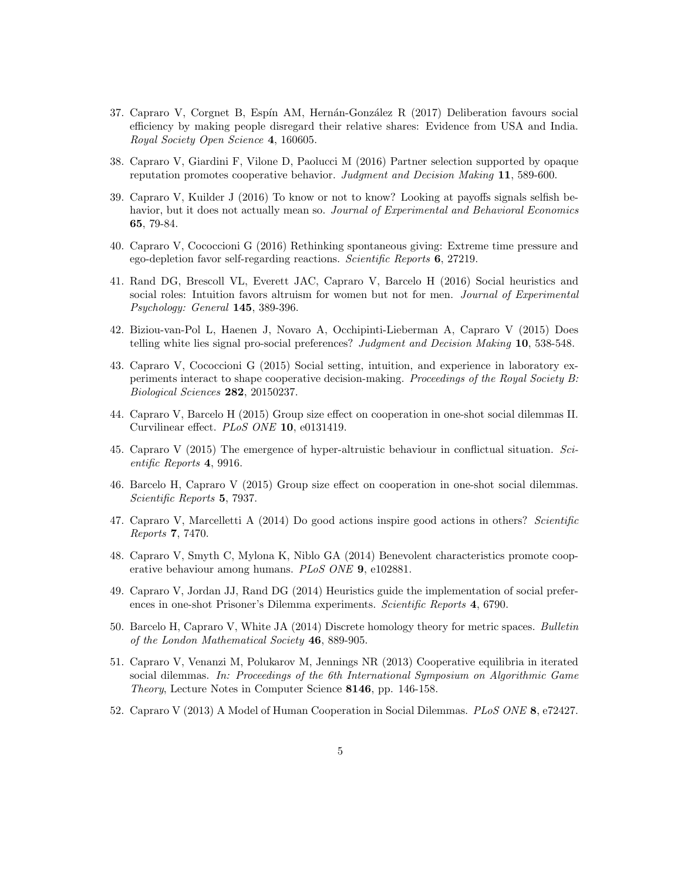- 37. Capraro V, Corgnet B, Espín AM, Hernán-González R (2017) Deliberation favours social efficiency by making people disregard their relative shares: Evidence from USA and India. Royal Society Open Science 4, 160605.
- 38. Capraro V, Giardini F, Vilone D, Paolucci M (2016) Partner selection supported by opaque reputation promotes cooperative behavior. Judgment and Decision Making 11, 589-600.
- 39. Capraro V, Kuilder J (2016) To know or not to know? Looking at payoffs signals selfish behavior, but it does not actually mean so. *Journal of Experimental and Behavioral Economics* 65, 79-84.
- 40. Capraro V, Cococcioni G (2016) Rethinking spontaneous giving: Extreme time pressure and ego-depletion favor self-regarding reactions. Scientific Reports 6, 27219.
- 41. Rand DG, Brescoll VL, Everett JAC, Capraro V, Barcelo H (2016) Social heuristics and social roles: Intuition favors altruism for women but not for men. Journal of Experimental Psychology: General 145, 389-396.
- 42. Biziou-van-Pol L, Haenen J, Novaro A, Occhipinti-Lieberman A, Capraro V (2015) Does telling white lies signal pro-social preferences? Judgment and Decision Making 10, 538-548.
- 43. Capraro V, Cococcioni G (2015) Social setting, intuition, and experience in laboratory experiments interact to shape cooperative decision-making. Proceedings of the Royal Society B: Biological Sciences 282, 20150237.
- 44. Capraro V, Barcelo H (2015) Group size effect on cooperation in one-shot social dilemmas II. Curvilinear effect. PLoS ONE 10, e0131419.
- 45. Capraro V (2015) The emergence of hyper-altruistic behaviour in conflictual situation. Scientific Reports 4, 9916.
- 46. Barcelo H, Capraro V (2015) Group size effect on cooperation in one-shot social dilemmas. Scientific Reports 5, 7937.
- 47. Capraro V, Marcelletti A (2014) Do good actions inspire good actions in others? Scientific Reports 7, 7470.
- 48. Capraro V, Smyth C, Mylona K, Niblo GA (2014) Benevolent characteristics promote cooperative behaviour among humans. PLoS ONE 9, e102881.
- 49. Capraro V, Jordan JJ, Rand DG (2014) Heuristics guide the implementation of social preferences in one-shot Prisoner's Dilemma experiments. Scientific Reports 4, 6790.
- 50. Barcelo H, Capraro V, White JA (2014) Discrete homology theory for metric spaces. Bulletin of the London Mathematical Society 46, 889-905.
- 51. Capraro V, Venanzi M, Polukarov M, Jennings NR (2013) Cooperative equilibria in iterated social dilemmas. In: Proceedings of the 6th International Symposium on Algorithmic Game Theory, Lecture Notes in Computer Science 8146, pp. 146-158.
- 52. Capraro V (2013) A Model of Human Cooperation in Social Dilemmas. PLoS ONE 8, e72427.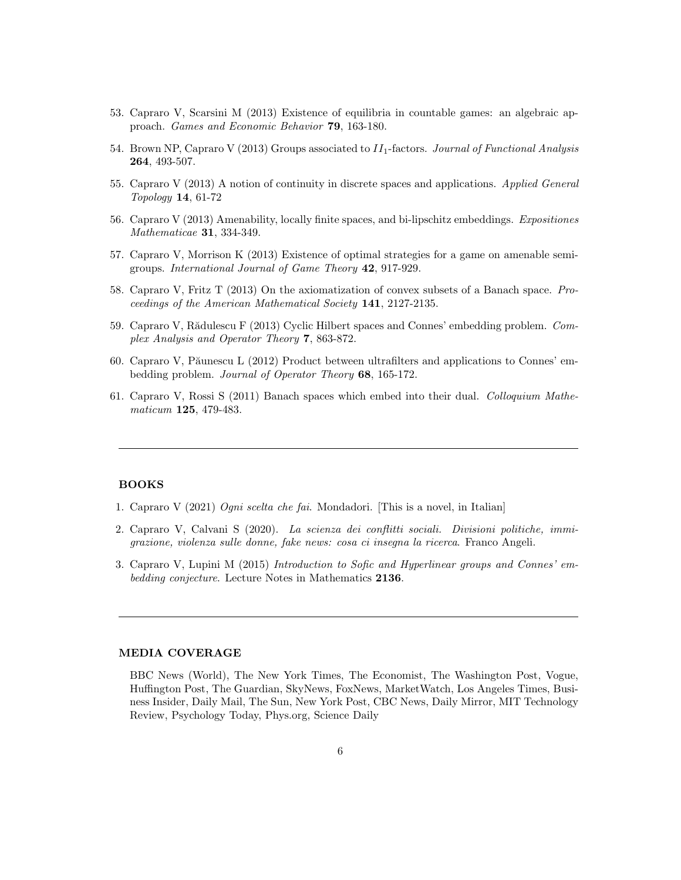- 53. Capraro V, Scarsini M (2013) Existence of equilibria in countable games: an algebraic approach. Games and Economic Behavior 79, 163-180.
- 54. Brown NP, Capraro V (2013) Groups associated to  $II_1$ -factors. Journal of Functional Analysis 264, 493-507.
- 55. Capraro V (2013) A notion of continuity in discrete spaces and applications. Applied General Topology 14, 61-72
- 56. Capraro V (2013) Amenability, locally finite spaces, and bi-lipschitz embeddings. Expositiones Mathematicae 31, 334-349.
- 57. Capraro V, Morrison K (2013) Existence of optimal strategies for a game on amenable semigroups. International Journal of Game Theory 42, 917-929.
- 58. Capraro V, Fritz T (2013) On the axiomatization of convex subsets of a Banach space. Proceedings of the American Mathematical Society 141, 2127-2135.
- 59. Capraro V, Rădulescu F (2013) Cyclic Hilbert spaces and Connes' embedding problem. Complex Analysis and Operator Theory 7, 863-872.
- 60. Capraro V, Păunescu L (2012) Product between ultrafilters and applications to Connes' embedding problem. Journal of Operator Theory 68, 165-172.
- 61. Capraro V, Rossi S (2011) Banach spaces which embed into their dual. Colloquium Mathematicum **125**, 479-483.

#### BOOKS

- 1. Capraro V (2021) Ogni scelta che fai. Mondadori. [This is a novel, in Italian]
- 2. Capraro V, Calvani S (2020). La scienza dei conflitti sociali. Divisioni politiche, immigrazione, violenza sulle donne, fake news: cosa ci insegna la ricerca. Franco Angeli.
- 3. Capraro V, Lupini M (2015) Introduction to Sofic and Hyperlinear groups and Connes' embedding conjecture. Lecture Notes in Mathematics 2136.

#### MEDIA COVERAGE

BBC News (World), The New York Times, The Economist, The Washington Post, Vogue, Huffington Post, The Guardian, SkyNews, FoxNews, MarketWatch, Los Angeles Times, Business Insider, Daily Mail, The Sun, New York Post, CBC News, Daily Mirror, MIT Technology Review, Psychology Today, Phys.org, Science Daily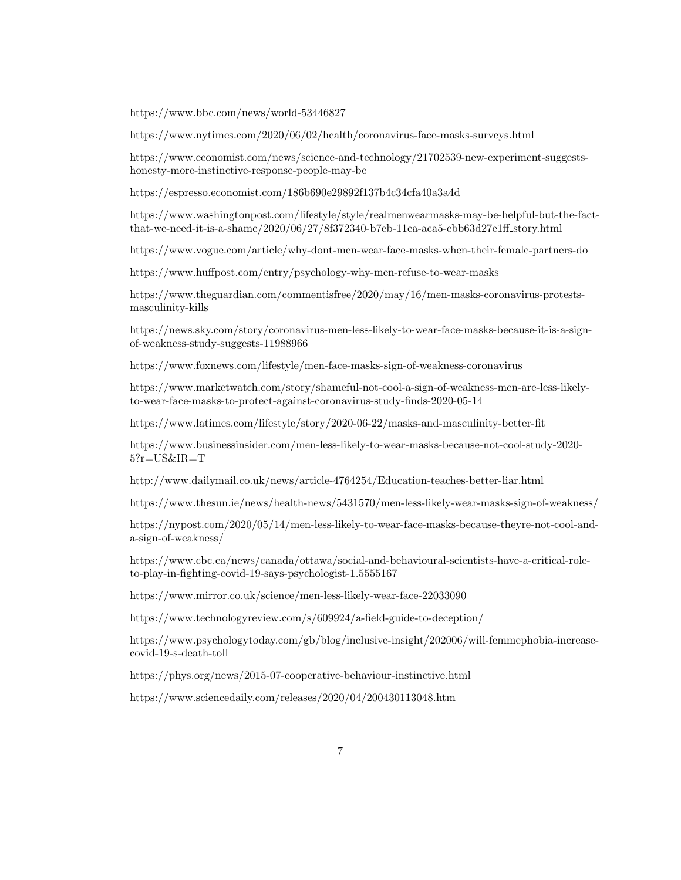https://www.bbc.com/news/world-53446827

https://www.nytimes.com/2020/06/02/health/coronavirus-face-masks-surveys.html

https://www.economist.com/news/science-and-technology/21702539-new-experiment-suggestshonesty-more-instinctive-response-people-may-be

https://espresso.economist.com/186b690e29892f137b4c34cfa40a3a4d

https://www.washingtonpost.com/lifestyle/style/realmenwearmasks-may-be-helpful-but-the-factthat-we-need-it-is-a-shame/2020/06/27/8f372340-b7eb-11ea-aca5-ebb63d27e1ff story.html

https://www.vogue.com/article/why-dont-men-wear-face-masks-when-their-female-partners-do

https://www.huffpost.com/entry/psychology-why-men-refuse-to-wear-masks

https://www.theguardian.com/commentisfree/2020/may/16/men-masks-coronavirus-protestsmasculinity-kills

https://news.sky.com/story/coronavirus-men-less-likely-to-wear-face-masks-because-it-is-a-signof-weakness-study-suggests-11988966

https://www.foxnews.com/lifestyle/men-face-masks-sign-of-weakness-coronavirus

https://www.marketwatch.com/story/shameful-not-cool-a-sign-of-weakness-men-are-less-likelyto-wear-face-masks-to-protect-against-coronavirus-study-finds-2020-05-14

https://www.latimes.com/lifestyle/story/2020-06-22/masks-and-masculinity-better-fit

https://www.businessinsider.com/men-less-likely-to-wear-masks-because-not-cool-study-2020- 5?r=US&IR=T

http://www.dailymail.co.uk/news/article-4764254/Education-teaches-better-liar.html

https://www.thesun.ie/news/health-news/5431570/men-less-likely-wear-masks-sign-of-weakness/

https://nypost.com/2020/05/14/men-less-likely-to-wear-face-masks-because-theyre-not-cool-anda-sign-of-weakness/

https://www.cbc.ca/news/canada/ottawa/social-and-behavioural-scientists-have-a-critical-roleto-play-in-fighting-covid-19-says-psychologist-1.5555167

https://www.mirror.co.uk/science/men-less-likely-wear-face-22033090

https://www.technologyreview.com/s/609924/a-field-guide-to-deception/

https://www.psychologytoday.com/gb/blog/inclusive-insight/202006/will-femmephobia-increasecovid-19-s-death-toll

https://phys.org/news/2015-07-cooperative-behaviour-instinctive.html

https://www.sciencedaily.com/releases/2020/04/200430113048.htm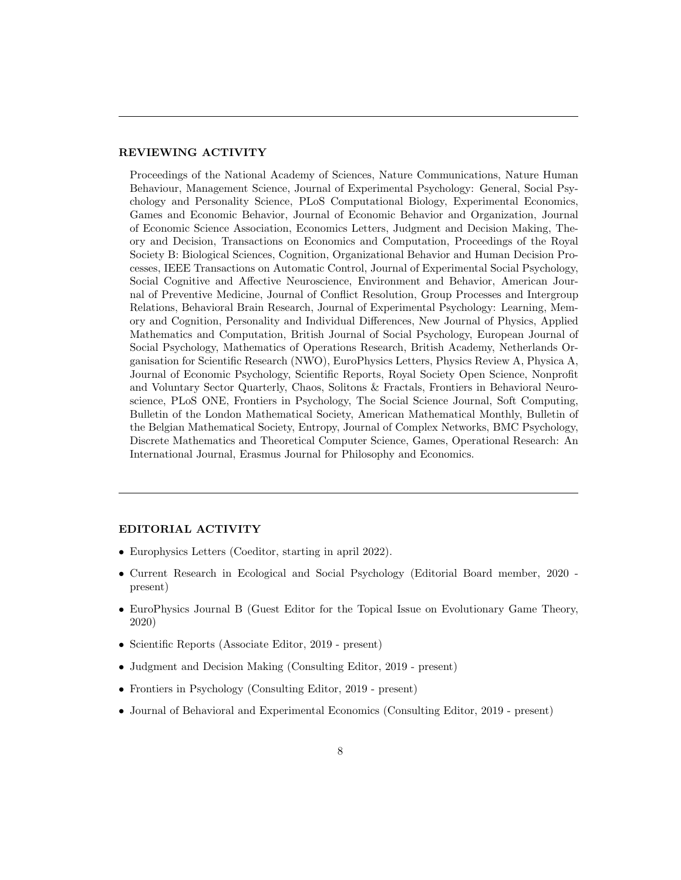## REVIEWING ACTIVITY

Proceedings of the National Academy of Sciences, Nature Communications, Nature Human Behaviour, Management Science, Journal of Experimental Psychology: General, Social Psychology and Personality Science, PLoS Computational Biology, Experimental Economics, Games and Economic Behavior, Journal of Economic Behavior and Organization, Journal of Economic Science Association, Economics Letters, Judgment and Decision Making, Theory and Decision, Transactions on Economics and Computation, Proceedings of the Royal Society B: Biological Sciences, Cognition, Organizational Behavior and Human Decision Processes, IEEE Transactions on Automatic Control, Journal of Experimental Social Psychology, Social Cognitive and Affective Neuroscience, Environment and Behavior, American Journal of Preventive Medicine, Journal of Conflict Resolution, Group Processes and Intergroup Relations, Behavioral Brain Research, Journal of Experimental Psychology: Learning, Memory and Cognition, Personality and Individual Differences, New Journal of Physics, Applied Mathematics and Computation, British Journal of Social Psychology, European Journal of Social Psychology, Mathematics of Operations Research, British Academy, Netherlands Organisation for Scientific Research (NWO), EuroPhysics Letters, Physics Review A, Physica A, Journal of Economic Psychology, Scientific Reports, Royal Society Open Science, Nonprofit and Voluntary Sector Quarterly, Chaos, Solitons & Fractals, Frontiers in Behavioral Neuroscience, PLoS ONE, Frontiers in Psychology, The Social Science Journal, Soft Computing, Bulletin of the London Mathematical Society, American Mathematical Monthly, Bulletin of the Belgian Mathematical Society, Entropy, Journal of Complex Networks, BMC Psychology, Discrete Mathematics and Theoretical Computer Science, Games, Operational Research: An International Journal, Erasmus Journal for Philosophy and Economics.

## EDITORIAL ACTIVITY

- Europhysics Letters (Coeditor, starting in april 2022).
- Current Research in Ecological and Social Psychology (Editorial Board member, 2020 present)
- EuroPhysics Journal B (Guest Editor for the Topical Issue on Evolutionary Game Theory, 2020)
- Scientific Reports (Associate Editor, 2019 present)
- Judgment and Decision Making (Consulting Editor, 2019 present)
- Frontiers in Psychology (Consulting Editor, 2019 present)
- Journal of Behavioral and Experimental Economics (Consulting Editor, 2019 present)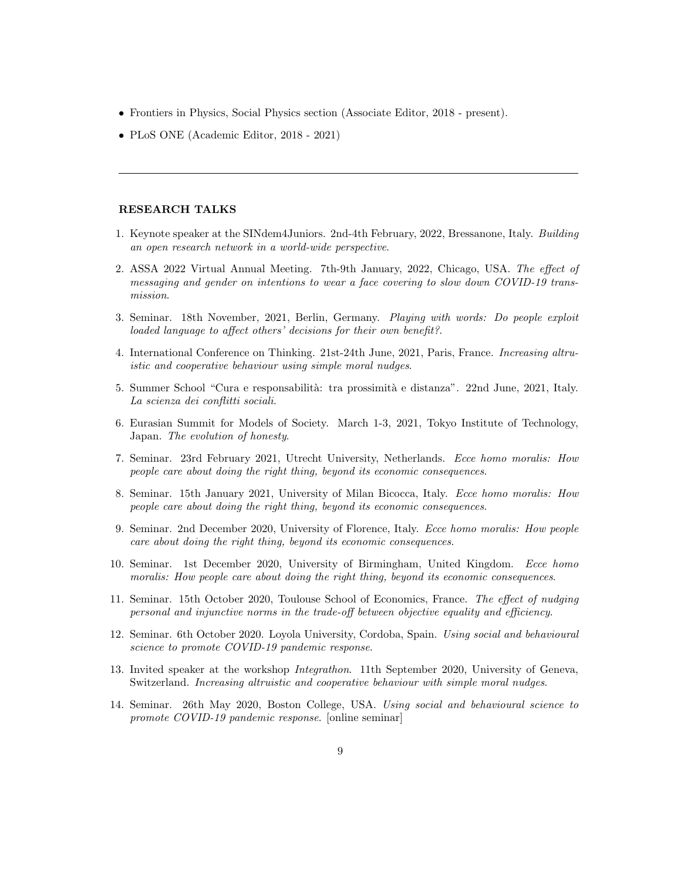- Frontiers in Physics, Social Physics section (Associate Editor, 2018 present).
- PLoS ONE (Academic Editor, 2018 2021)

## RESEARCH TALKS

- 1. Keynote speaker at the SINdem4Juniors. 2nd-4th February, 2022, Bressanone, Italy. Building an open research network in a world-wide perspective.
- 2. ASSA 2022 Virtual Annual Meeting. 7th-9th January, 2022, Chicago, USA. The effect of messaging and gender on intentions to wear a face covering to slow down COVID-19 transmission.
- 3. Seminar. 18th November, 2021, Berlin, Germany. Playing with words: Do people exploit loaded language to affect others' decisions for their own benefit?.
- 4. International Conference on Thinking. 21st-24th June, 2021, Paris, France. Increasing altruistic and cooperative behaviour using simple moral nudges.
- 5. Summer School "Cura e responsabilità: tra prossimità e distanza". 22nd June, 2021, Italy. La scienza dei conflitti sociali.
- 6. Eurasian Summit for Models of Society. March 1-3, 2021, Tokyo Institute of Technology, Japan. The evolution of honesty.
- 7. Seminar. 23rd February 2021, Utrecht University, Netherlands. Ecce homo moralis: How people care about doing the right thing, beyond its economic consequences.
- 8. Seminar. 15th January 2021, University of Milan Bicocca, Italy. Ecce homo moralis: How people care about doing the right thing, beyond its economic consequences.
- 9. Seminar. 2nd December 2020, University of Florence, Italy. Ecce homo moralis: How people care about doing the right thing, beyond its economic consequences.
- 10. Seminar. 1st December 2020, University of Birmingham, United Kingdom. Ecce homo moralis: How people care about doing the right thing, beyond its economic consequences.
- 11. Seminar. 15th October 2020, Toulouse School of Economics, France. The effect of nudging personal and injunctive norms in the trade-off between objective equality and efficiency.
- 12. Seminar. 6th October 2020. Loyola University, Cordoba, Spain. Using social and behavioural science to promote COVID-19 pandemic response.
- 13. Invited speaker at the workshop Integrathon. 11th September 2020, University of Geneva, Switzerland. Increasing altruistic and cooperative behaviour with simple moral nudges.
- 14. Seminar. 26th May 2020, Boston College, USA. Using social and behavioural science to promote COVID-19 pandemic response. [online seminar]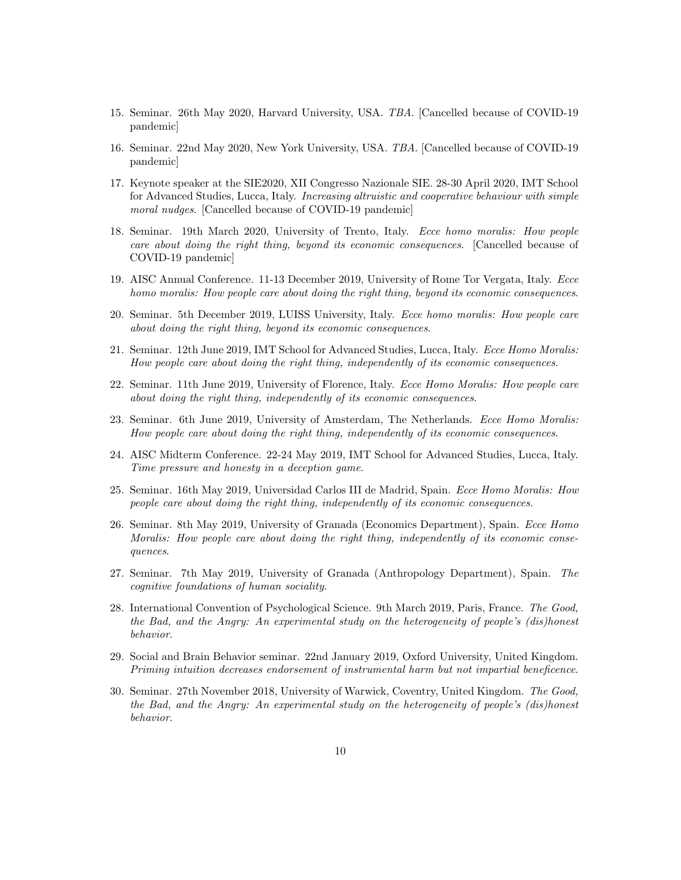- 15. Seminar. 26th May 2020, Harvard University, USA. TBA. [Cancelled because of COVID-19 pandemic]
- 16. Seminar. 22nd May 2020, New York University, USA. TBA. [Cancelled because of COVID-19 pandemic]
- 17. Keynote speaker at the SIE2020, XII Congresso Nazionale SIE. 28-30 April 2020, IMT School for Advanced Studies, Lucca, Italy. Increasing altruistic and cooperative behaviour with simple moral nudges. [Cancelled because of COVID-19 pandemic]
- 18. Seminar. 19th March 2020, University of Trento, Italy. Ecce homo moralis: How people care about doing the right thing, beyond its economic consequences. [Cancelled because of COVID-19 pandemic]
- 19. AISC Annual Conference. 11-13 December 2019, University of Rome Tor Vergata, Italy. Ecce homo moralis: How people care about doing the right thing, beyond its economic consequences.
- 20. Seminar. 5th December 2019, LUISS University, Italy. Ecce homo moralis: How people care about doing the right thing, beyond its economic consequences.
- 21. Seminar. 12th June 2019, IMT School for Advanced Studies, Lucca, Italy. Ecce Homo Moralis: How people care about doing the right thing, independently of its economic consequences.
- 22. Seminar. 11th June 2019, University of Florence, Italy. Ecce Homo Moralis: How people care about doing the right thing, independently of its economic consequences.
- 23. Seminar. 6th June 2019, University of Amsterdam, The Netherlands. Ecce Homo Moralis: How people care about doing the right thing, independently of its economic consequences.
- 24. AISC Midterm Conference. 22-24 May 2019, IMT School for Advanced Studies, Lucca, Italy. Time pressure and honesty in a deception game.
- 25. Seminar. 16th May 2019, Universidad Carlos III de Madrid, Spain. Ecce Homo Moralis: How people care about doing the right thing, independently of its economic consequences.
- 26. Seminar. 8th May 2019, University of Granada (Economics Department), Spain. Ecce Homo Moralis: How people care about doing the right thing, independently of its economic consequences.
- 27. Seminar. 7th May 2019, University of Granada (Anthropology Department), Spain. The cognitive foundations of human sociality.
- 28. International Convention of Psychological Science. 9th March 2019, Paris, France. The Good, the Bad, and the Angry: An experimental study on the heterogeneity of people's (dis)honest behavior.
- 29. Social and Brain Behavior seminar. 22nd January 2019, Oxford University, United Kingdom. Priming intuition decreases endorsement of instrumental harm but not impartial beneficence.
- 30. Seminar. 27th November 2018, University of Warwick, Coventry, United Kingdom. The Good, the Bad, and the Angry: An experimental study on the heterogeneity of people's (dis)honest behavior.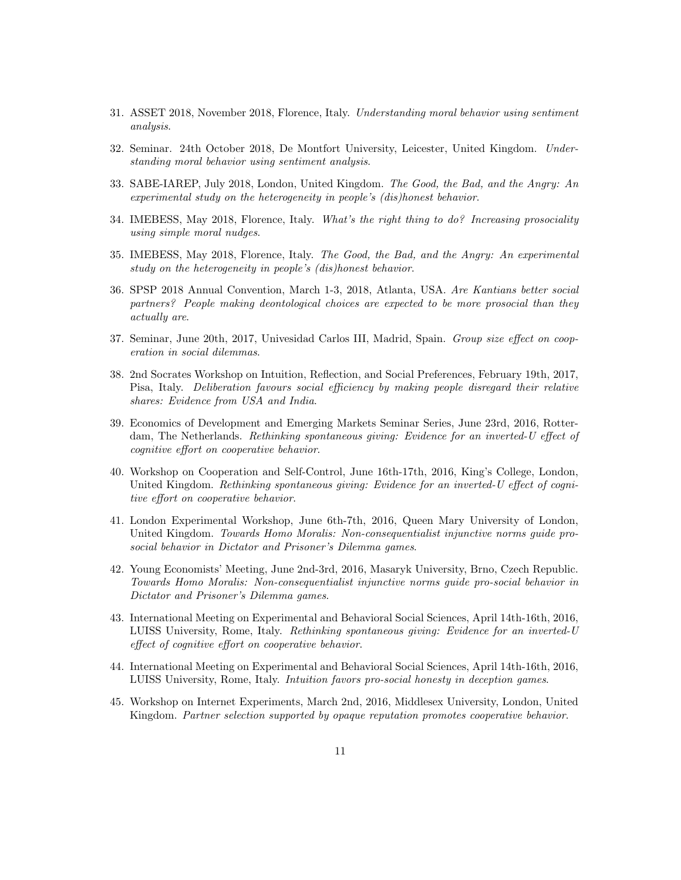- 31. ASSET 2018, November 2018, Florence, Italy. Understanding moral behavior using sentiment analysis.
- 32. Seminar. 24th October 2018, De Montfort University, Leicester, United Kingdom. Understanding moral behavior using sentiment analysis.
- 33. SABE-IAREP, July 2018, London, United Kingdom. The Good, the Bad, and the Angry: An experimental study on the heterogeneity in people's (dis)honest behavior.
- 34. IMEBESS, May 2018, Florence, Italy. What's the right thing to do? Increasing prosociality using simple moral nudges.
- 35. IMEBESS, May 2018, Florence, Italy. The Good, the Bad, and the Angry: An experimental study on the heterogeneity in people's (dis)honest behavior.
- 36. SPSP 2018 Annual Convention, March 1-3, 2018, Atlanta, USA. Are Kantians better social partners? People making deontological choices are expected to be more prosocial than they actually are.
- 37. Seminar, June 20th, 2017, Univesidad Carlos III, Madrid, Spain. Group size effect on cooperation in social dilemmas.
- 38. 2nd Socrates Workshop on Intuition, Reflection, and Social Preferences, February 19th, 2017, Pisa, Italy. Deliberation favours social efficiency by making people disregard their relative shares: Evidence from USA and India.
- 39. Economics of Development and Emerging Markets Seminar Series, June 23rd, 2016, Rotterdam, The Netherlands. Rethinking spontaneous giving: Evidence for an inverted-U effect of cognitive effort on cooperative behavior.
- 40. Workshop on Cooperation and Self-Control, June 16th-17th, 2016, King's College, London, United Kingdom. Rethinking spontaneous giving: Evidence for an inverted-U effect of cognitive effort on cooperative behavior.
- 41. London Experimental Workshop, June 6th-7th, 2016, Queen Mary University of London, United Kingdom. Towards Homo Moralis: Non-consequentialist injunctive norms guide prosocial behavior in Dictator and Prisoner's Dilemma games.
- 42. Young Economists' Meeting, June 2nd-3rd, 2016, Masaryk University, Brno, Czech Republic. Towards Homo Moralis: Non-consequentialist injunctive norms guide pro-social behavior in Dictator and Prisoner's Dilemma games.
- 43. International Meeting on Experimental and Behavioral Social Sciences, April 14th-16th, 2016, LUISS University, Rome, Italy. Rethinking spontaneous giving: Evidence for an inverted-U effect of cognitive effort on cooperative behavior.
- 44. International Meeting on Experimental and Behavioral Social Sciences, April 14th-16th, 2016, LUISS University, Rome, Italy. Intuition favors pro-social honesty in deception games.
- 45. Workshop on Internet Experiments, March 2nd, 2016, Middlesex University, London, United Kingdom. Partner selection supported by opaque reputation promotes cooperative behavior.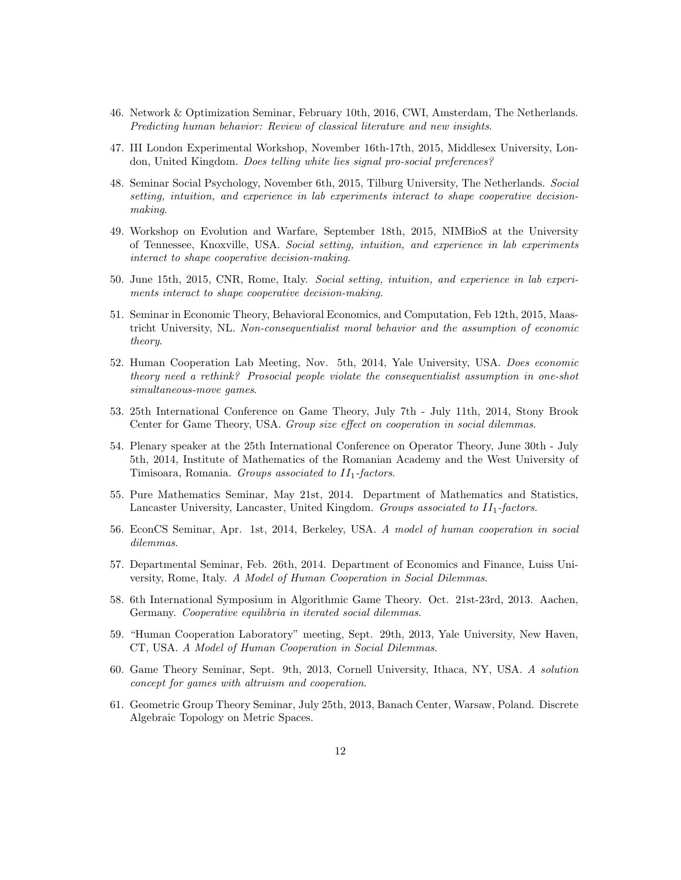- 46. Network & Optimization Seminar, February 10th, 2016, CWI, Amsterdam, The Netherlands. Predicting human behavior: Review of classical literature and new insights.
- 47. III London Experimental Workshop, November 16th-17th, 2015, Middlesex University, London, United Kingdom. Does telling white lies signal pro-social preferences?
- 48. Seminar Social Psychology, November 6th, 2015, Tilburg University, The Netherlands. Social setting, intuition, and experience in lab experiments interact to shape cooperative decisionmaking.
- 49. Workshop on Evolution and Warfare, September 18th, 2015, NIMBioS at the University of Tennessee, Knoxville, USA. Social setting, intuition, and experience in lab experiments interact to shape cooperative decision-making.
- 50. June 15th, 2015, CNR, Rome, Italy. Social setting, intuition, and experience in lab experiments interact to shape cooperative decision-making.
- 51. Seminar in Economic Theory, Behavioral Economics, and Computation, Feb 12th, 2015, Maastricht University, NL. Non-consequentialist moral behavior and the assumption of economic theory.
- 52. Human Cooperation Lab Meeting, Nov. 5th, 2014, Yale University, USA. Does economic theory need a rethink? Prosocial people violate the consequentialist assumption in one-shot simultaneous-move games.
- 53. 25th International Conference on Game Theory, July 7th July 11th, 2014, Stony Brook Center for Game Theory, USA. Group size effect on cooperation in social dilemmas.
- 54. Plenary speaker at the 25th International Conference on Operator Theory, June 30th July 5th, 2014, Institute of Mathematics of the Romanian Academy and the West University of Timisoara, Romania. Groups associated to  $II_1$ -factors.
- 55. Pure Mathematics Seminar, May 21st, 2014. Department of Mathematics and Statistics, Lancaster University, Lancaster, United Kingdom. Groups associated to  $II_1$ -factors.
- 56. EconCS Seminar, Apr. 1st, 2014, Berkeley, USA. A model of human cooperation in social dilemmas.
- 57. Departmental Seminar, Feb. 26th, 2014. Department of Economics and Finance, Luiss University, Rome, Italy. A Model of Human Cooperation in Social Dilemmas.
- 58. 6th International Symposium in Algorithmic Game Theory. Oct. 21st-23rd, 2013. Aachen, Germany. Cooperative equilibria in iterated social dilemmas.
- 59. "Human Cooperation Laboratory" meeting, Sept. 29th, 2013, Yale University, New Haven, CT, USA. A Model of Human Cooperation in Social Dilemmas.
- 60. Game Theory Seminar, Sept. 9th, 2013, Cornell University, Ithaca, NY, USA. A solution concept for games with altruism and cooperation.
- 61. Geometric Group Theory Seminar, July 25th, 2013, Banach Center, Warsaw, Poland. Discrete Algebraic Topology on Metric Spaces.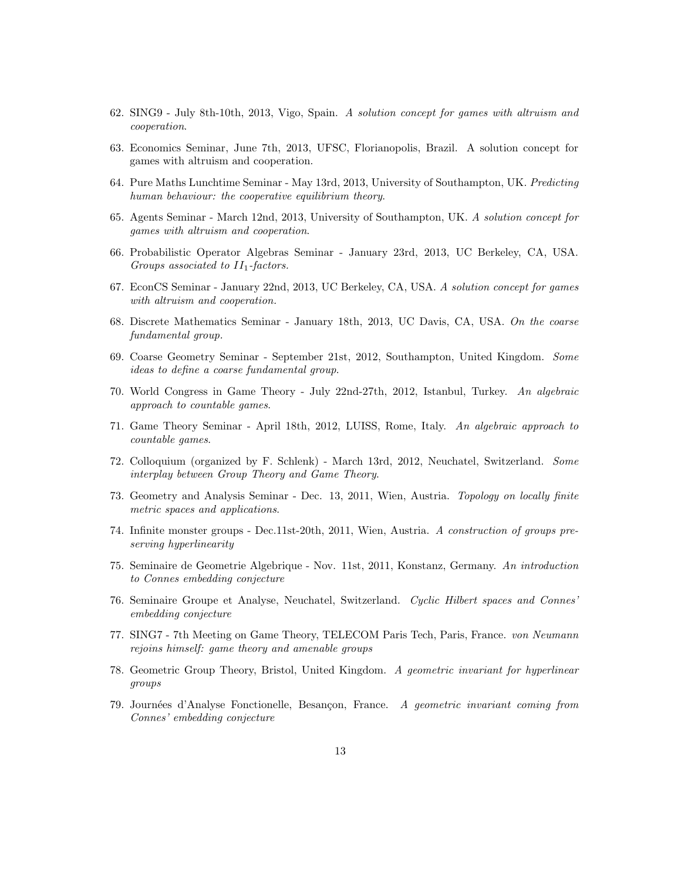- 62. SING9 July 8th-10th, 2013, Vigo, Spain. A solution concept for games with altruism and cooperation.
- 63. Economics Seminar, June 7th, 2013, UFSC, Florianopolis, Brazil. A solution concept for games with altruism and cooperation.
- 64. Pure Maths Lunchtime Seminar May 13rd, 2013, University of Southampton, UK. Predicting human behaviour: the cooperative equilibrium theory.
- 65. Agents Seminar March 12nd, 2013, University of Southampton, UK. A solution concept for games with altruism and cooperation.
- 66. Probabilistic Operator Algebras Seminar January 23rd, 2013, UC Berkeley, CA, USA. Groups associated to  $II_1$ -factors.
- 67. EconCS Seminar January 22nd, 2013, UC Berkeley, CA, USA. A solution concept for games with altruism and cooperation.
- 68. Discrete Mathematics Seminar January 18th, 2013, UC Davis, CA, USA. On the coarse fundamental group.
- 69. Coarse Geometry Seminar September 21st, 2012, Southampton, United Kingdom. Some ideas to define a coarse fundamental group.
- 70. World Congress in Game Theory July 22nd-27th, 2012, Istanbul, Turkey. An algebraic approach to countable games.
- 71. Game Theory Seminar April 18th, 2012, LUISS, Rome, Italy. An algebraic approach to countable games.
- 72. Colloquium (organized by F. Schlenk) March 13rd, 2012, Neuchatel, Switzerland. Some interplay between Group Theory and Game Theory.
- 73. Geometry and Analysis Seminar Dec. 13, 2011, Wien, Austria. Topology on locally finite metric spaces and applications.
- 74. Infinite monster groups Dec.11st-20th, 2011, Wien, Austria. A construction of groups preserving hyperlinearity
- 75. Seminaire de Geometrie Algebrique Nov. 11st, 2011, Konstanz, Germany. An introduction to Connes embedding conjecture
- 76. Seminaire Groupe et Analyse, Neuchatel, Switzerland. Cyclic Hilbert spaces and Connes' embedding conjecture
- 77. SING7 7th Meeting on Game Theory, TELECOM Paris Tech, Paris, France. von Neumann rejoins himself: game theory and amenable groups
- 78. Geometric Group Theory, Bristol, United Kingdom. A geometric invariant for hyperlinear groups
- 79. Journées d'Analyse Fonctionelle, Besançon, France. A geometric invariant coming from Connes' embedding conjecture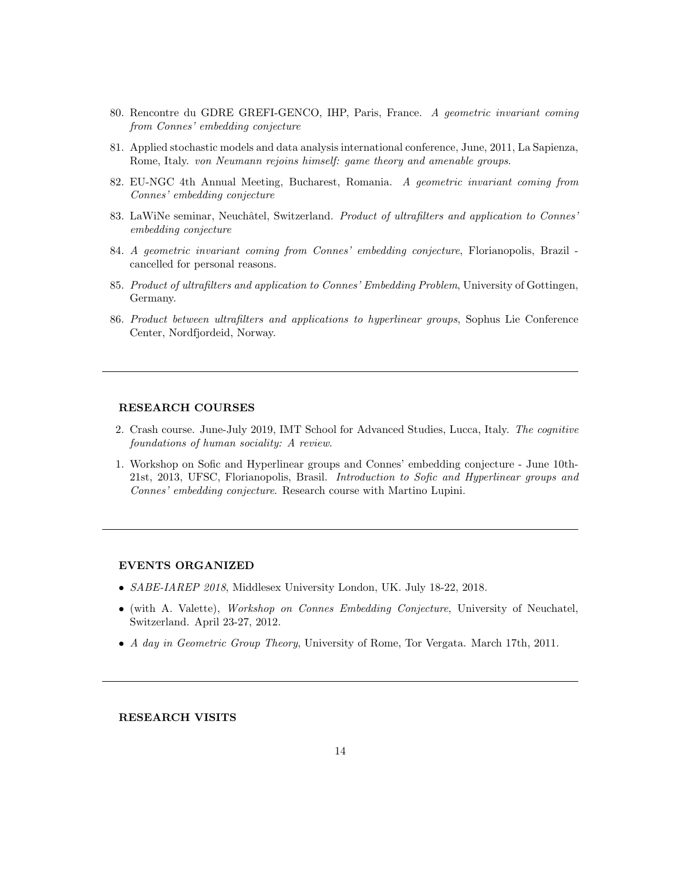- 80. Rencontre du GDRE GREFI-GENCO, IHP, Paris, France. A geometric invariant coming from Connes' embedding conjecture
- 81. Applied stochastic models and data analysis international conference, June, 2011, La Sapienza, Rome, Italy. von Neumann rejoins himself: game theory and amenable groups.
- 82. EU-NGC 4th Annual Meeting, Bucharest, Romania. A geometric invariant coming from Connes' embedding conjecture
- 83. LaWiNe seminar, Neuchâtel, Switzerland. Product of ultrafilters and application to Connes' embedding conjecture
- 84. A geometric invariant coming from Connes' embedding conjecture, Florianopolis, Brazil cancelled for personal reasons.
- 85. Product of ultrafilters and application to Connes' Embedding Problem, University of Gottingen, Germany.
- 86. Product between ultrafilters and applications to hyperlinear groups, Sophus Lie Conference Center, Nordfjordeid, Norway.

#### RESEARCH COURSES

- 2. Crash course. June-July 2019, IMT School for Advanced Studies, Lucca, Italy. The cognitive foundations of human sociality: A review.
- 1. Workshop on Sofic and Hyperlinear groups and Connes' embedding conjecture June 10th-21st, 2013, UFSC, Florianopolis, Brasil. Introduction to Sofic and Hyperlinear groups and Connes' embedding conjecture. Research course with Martino Lupini.

## EVENTS ORGANIZED

- SABE-IAREP 2018, Middlesex University London, UK. July 18-22, 2018.
- (with A. Valette), Workshop on Connes Embedding Conjecture, University of Neuchatel, Switzerland. April 23-27, 2012.
- A day in Geometric Group Theory, University of Rome, Tor Vergata. March 17th, 2011.

RESEARCH VISITS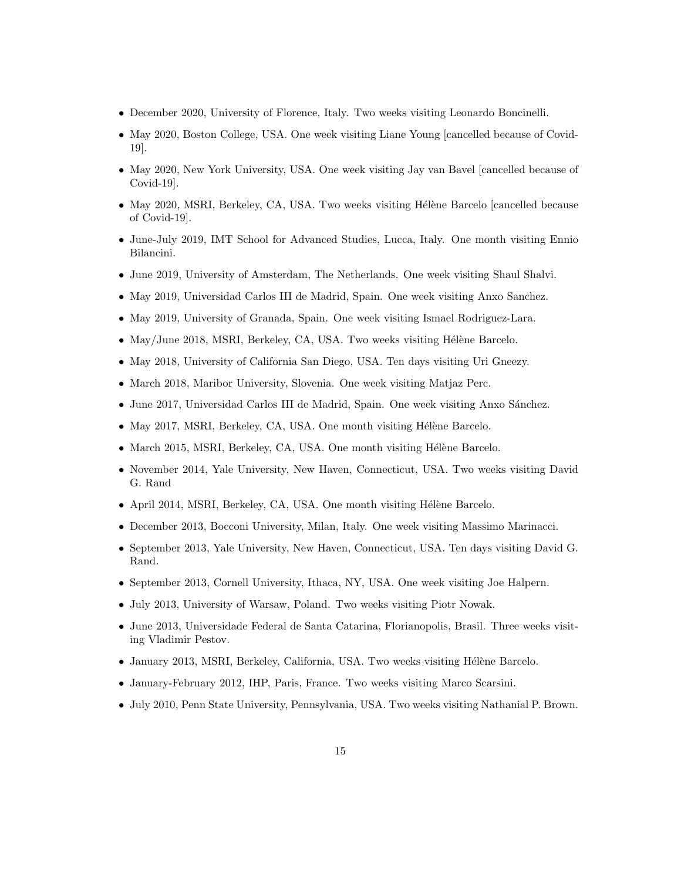- December 2020, University of Florence, Italy. Two weeks visiting Leonardo Boncinelli.
- May 2020, Boston College, USA. One week visiting Liane Young [cancelled because of Covid-19].
- May 2020, New York University, USA. One week visiting Jay van Bavel [cancelled because of Covid-19].
- May 2020, MSRI, Berkeley, CA, USA. Two weeks visiting Hélène Barcelo [cancelled because of Covid-19].
- June-July 2019, IMT School for Advanced Studies, Lucca, Italy. One month visiting Ennio Bilancini.
- June 2019, University of Amsterdam, The Netherlands. One week visiting Shaul Shalvi.
- May 2019, Universidad Carlos III de Madrid, Spain. One week visiting Anxo Sanchez.
- May 2019, University of Granada, Spain. One week visiting Ismael Rodriguez-Lara.
- May/June 2018, MSRI, Berkeley, CA, USA. Two weeks visiting Hélène Barcelo.
- May 2018, University of California San Diego, USA. Ten days visiting Uri Gneezy.
- March 2018, Maribor University, Slovenia. One week visiting Matjaz Perc.
- June 2017, Universidad Carlos III de Madrid, Spain. One week visiting Anxo Sánchez.
- $\bullet$  May 2017, MSRI, Berkeley, CA, USA. One month visiting Hélène Barcelo.
- March 2015, MSRI, Berkeley, CA, USA. One month visiting Hélène Barcelo.
- November 2014, Yale University, New Haven, Connecticut, USA. Two weeks visiting David G. Rand
- April 2014, MSRI, Berkeley, CA, USA. One month visiting Hélène Barcelo.
- December 2013, Bocconi University, Milan, Italy. One week visiting Massimo Marinacci.
- September 2013, Yale University, New Haven, Connecticut, USA. Ten days visiting David G. Rand.
- September 2013, Cornell University, Ithaca, NY, USA. One week visiting Joe Halpern.
- July 2013, University of Warsaw, Poland. Two weeks visiting Piotr Nowak.
- June 2013, Universidade Federal de Santa Catarina, Florianopolis, Brasil. Three weeks visiting Vladimir Pestov.
- $\bullet$  January 2013, MSRI, Berkeley, California, USA. Two weeks visiting Hélène Barcelo.
- January-February 2012, IHP, Paris, France. Two weeks visiting Marco Scarsini.
- July 2010, Penn State University, Pennsylvania, USA. Two weeks visiting Nathanial P. Brown.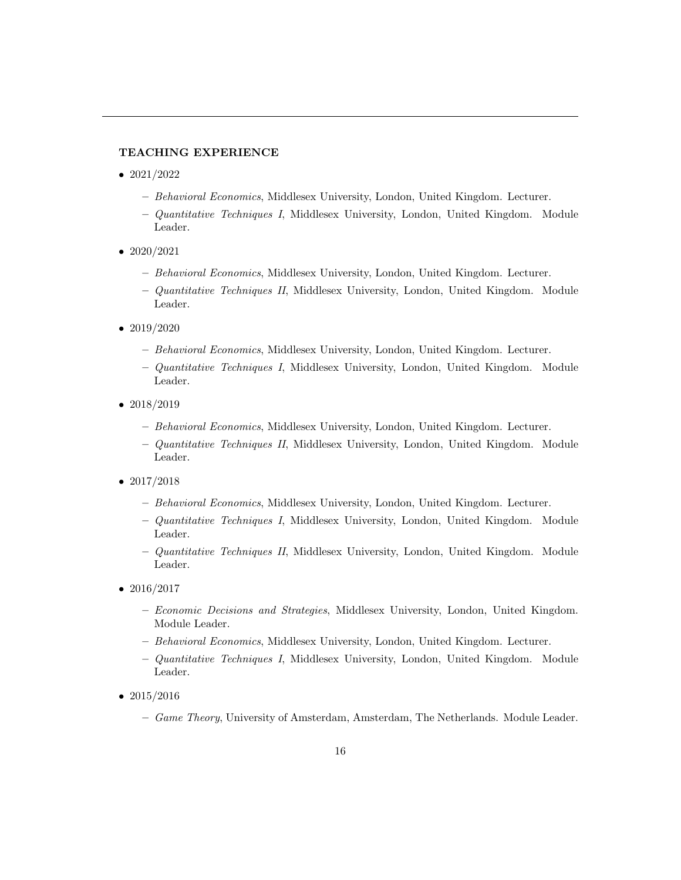# TEACHING EXPERIENCE

- 2021/2022
	- Behavioral Economics, Middlesex University, London, United Kingdom. Lecturer.
	- Quantitative Techniques I, Middlesex University, London, United Kingdom. Module Leader.
- 2020/2021
	- Behavioral Economics, Middlesex University, London, United Kingdom. Lecturer.
	- Quantitative Techniques II, Middlesex University, London, United Kingdom. Module Leader.
- $2019/2020$ 
	- Behavioral Economics, Middlesex University, London, United Kingdom. Lecturer.
	- Quantitative Techniques I, Middlesex University, London, United Kingdom. Module Leader.
- $2018/2019$ 
	- Behavioral Economics, Middlesex University, London, United Kingdom. Lecturer.
	- Quantitative Techniques II, Middlesex University, London, United Kingdom. Module Leader.
- $2017/2018$ 
	- Behavioral Economics, Middlesex University, London, United Kingdom. Lecturer.
	- Quantitative Techniques I, Middlesex University, London, United Kingdom. Module Leader.
	- Quantitative Techniques II, Middlesex University, London, United Kingdom. Module Leader.
- $2016/2017$ 
	- Economic Decisions and Strategies, Middlesex University, London, United Kingdom. Module Leader.
	- Behavioral Economics, Middlesex University, London, United Kingdom. Lecturer.
	- Quantitative Techniques I, Middlesex University, London, United Kingdom. Module Leader.
- 2015/2016
	- Game Theory, University of Amsterdam, Amsterdam, The Netherlands. Module Leader.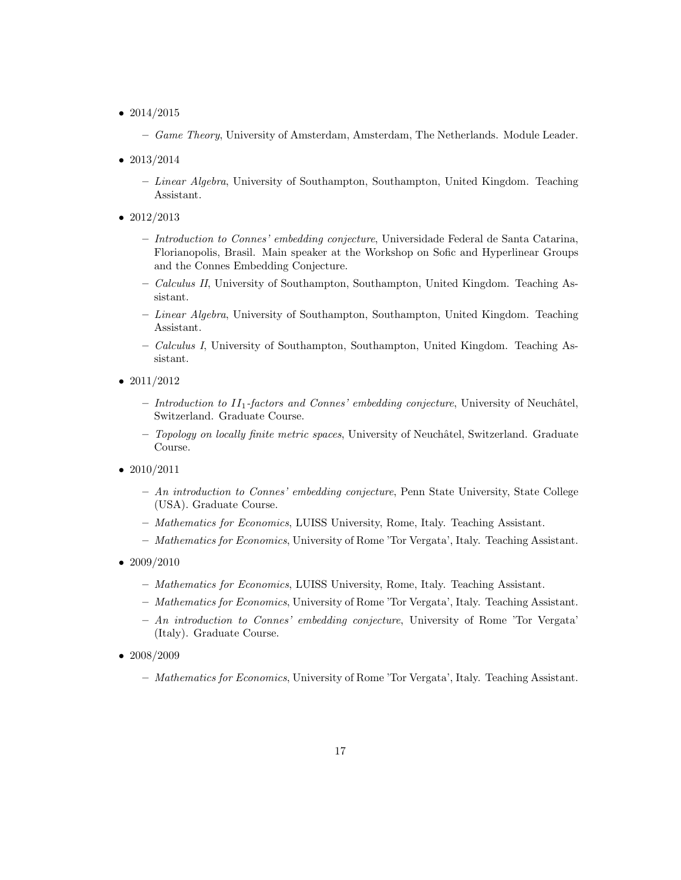- 2014/2015
	- Game Theory, University of Amsterdam, Amsterdam, The Netherlands. Module Leader.
- 2013/2014
	- $-$  Linear Algebra, University of Southampton, Southampton, United Kingdom. Teaching Assistant.
- 2012/2013
	- Introduction to Connes' embedding conjecture, Universidade Federal de Santa Catarina, Florianopolis, Brasil. Main speaker at the Workshop on Sofic and Hyperlinear Groups and the Connes Embedding Conjecture.
	- Calculus II, University of Southampton, Southampton, United Kingdom. Teaching Assistant.
	- Linear Algebra, University of Southampton, Southampton, United Kingdom. Teaching Assistant.
	- Calculus I, University of Southampton, Southampton, United Kingdom. Teaching Assistant.
- 2011/2012
	- Introduction to  $II_1$ -factors and Connes' embedding conjecture, University of Neuchâtel, Switzerland. Graduate Course.
	- $-$  Topology on locally finite metric spaces, University of Neuchâtel, Switzerland. Graduate Course.
- 2010/2011
	- $An introduction to Connes' embedding conjecture, Penn State University, State College$ (USA). Graduate Course.
	- Mathematics for Economics, LUISS University, Rome, Italy. Teaching Assistant.
	- Mathematics for Economics, University of Rome 'Tor Vergata', Italy. Teaching Assistant.
- 2009/2010
	- Mathematics for Economics, LUISS University, Rome, Italy. Teaching Assistant.
	- Mathematics for Economics, University of Rome 'Tor Vergata', Italy. Teaching Assistant.
	- $An introduction to Connes' embedding conjecture, University of Rome 'Tor's Vergata'$ (Italy). Graduate Course.
- 2008/2009
	- Mathematics for Economics, University of Rome 'Tor Vergata', Italy. Teaching Assistant.